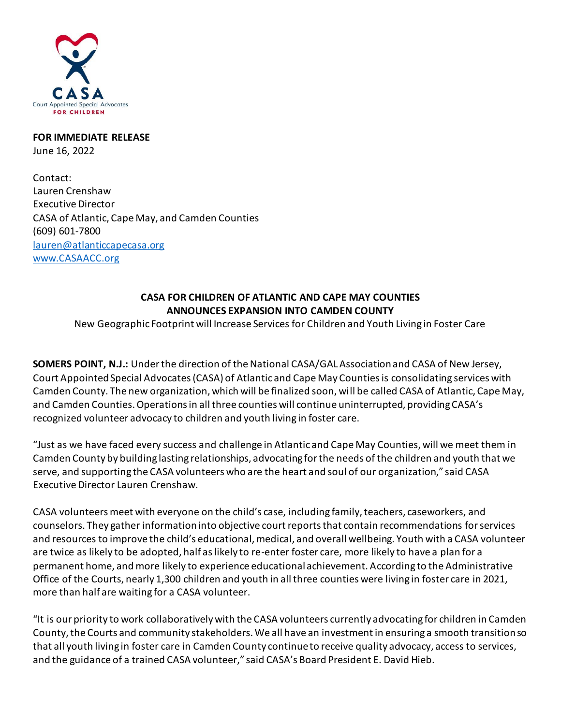

## **FOR IMMEDIATE RELEASE** June 16, 2022

Contact: Lauren Crenshaw Executive Director CASA of Atlantic, Cape May, and Camden Counties (609) 601-7800 [lauren@atlanticcapecasa.org](mailto:lauren@atlanticcapecasa.org) <www.CASAACC.org>

## **CASA FOR CHILDREN OF ATLANTIC AND CAPE MAY COUNTIES ANNOUNCES EXPANSION INTO CAMDEN COUNTY**

New Geographic Footprint will Increase Services for Children and Youth Living in Foster Care

**SOMERS POINT, N.J.:** Under the direction of the National CASA/GAL Association and CASA of New Jersey, Court Appointed Special Advocates (CASA) of Atlantic and Cape May Counties is consolidating services with Camden County. The new organization, which will be finalized soon, will be called CASA of Atlantic, Cape May, and Camden Counties. Operations in all three counties will continue uninterrupted, providing CASA's recognized volunteer advocacy to children and youth living in foster care.

"Just as we have faced every success and challenge in Atlantic and Cape May Counties, will we meet them in Camden County by building lasting relationships, advocating for the needs of the children and youth that we serve, and supporting the CASA volunteers who are the heart and soul of our organization," said CASA Executive Director Lauren Crenshaw.

CASA volunteers meet with everyone on the child's case, including family, teachers, caseworkers, and counselors. They gather information into objective court reports that contain recommendations for services and resources to improve the child's educational, medical, and overall wellbeing. Youth with a CASA volunteer are twice as likely to be adopted, half as likely to re-enter foster care, more likely to have a plan for a permanent home, and more likely to experience educational achievement. According to the Administrative Office of the Courts, nearly 1,300 children and youth in all three counties were living in foster care in 2021, more than half are waiting for a CASA volunteer.

"It is our priority to work collaboratively with the CASA volunteers currently advocating for children in Camden County, the Courts and community stakeholders. We all have an investment in ensuring a smooth transition so that all youth living in foster care in Camden County continue to receive quality advocacy, access to services, and the guidance of a trained CASA volunteer," said CASA's Board President E. David Hieb.